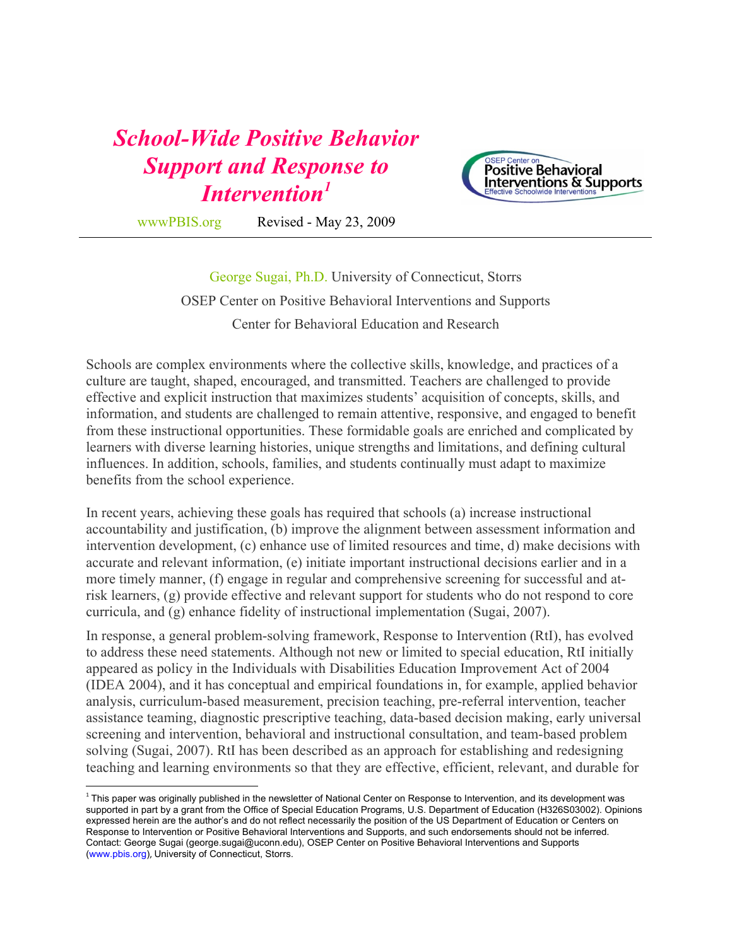## *School-Wide Positive Behavior Support and Response to Intervention1*



 $\overline{a}$ 

wwwPBIS.org Revised - May 23, 2009

George Sugai, Ph.D. University of Connecticut, Storrs OSEP Center on Positive Behavioral Interventions and Supports Center for Behavioral Education and Research

Schools are complex environments where the collective skills, knowledge, and practices of a culture are taught, shaped, encouraged, and transmitted. Teachers are challenged to provide effective and explicit instruction that maximizes students' acquisition of concepts, skills, and information, and students are challenged to remain attentive, responsive, and engaged to benefit from these instructional opportunities. These formidable goals are enriched and complicated by learners with diverse learning histories, unique strengths and limitations, and defining cultural influences. In addition, schools, families, and students continually must adapt to maximize benefits from the school experience.

In recent years, achieving these goals has required that schools (a) increase instructional accountability and justification, (b) improve the alignment between assessment information and intervention development, (c) enhance use of limited resources and time, d) make decisions with accurate and relevant information, (e) initiate important instructional decisions earlier and in a more timely manner, (f) engage in regular and comprehensive screening for successful and atrisk learners, (g) provide effective and relevant support for students who do not respond to core curricula, and (g) enhance fidelity of instructional implementation (Sugai, 2007).

In response, a general problem-solving framework, Response to Intervention (RtI), has evolved to address these need statements. Although not new or limited to special education, RtI initially appeared as policy in the Individuals with Disabilities Education Improvement Act of 2004 (IDEA 2004), and it has conceptual and empirical foundations in, for example, applied behavior analysis, curriculum-based measurement, precision teaching, pre-referral intervention, teacher assistance teaming, diagnostic prescriptive teaching, data-based decision making, early universal screening and intervention, behavioral and instructional consultation, and team-based problem solving (Sugai, 2007). RtI has been described as an approach for establishing and redesigning teaching and learning environments so that they are effective, efficient, relevant, and durable for

 $1$  This paper was originally published in the newsletter of National Center on Response to Intervention, and its development was supported in part by a grant from the Office of Special Education Programs, U.S. Department of Education (H326S03002). Opinions expressed herein are the author's and do not reflect necessarily the position of the US Department of Education or Centers on Response to Intervention or Positive Behavioral Interventions and Supports, and such endorsements should not be inferred. Contact: George Sugai (george.sugai@uconn.edu), OSEP Center on Positive Behavioral Interventions and Supports (www.pbis.org), University of Connecticut, Storrs.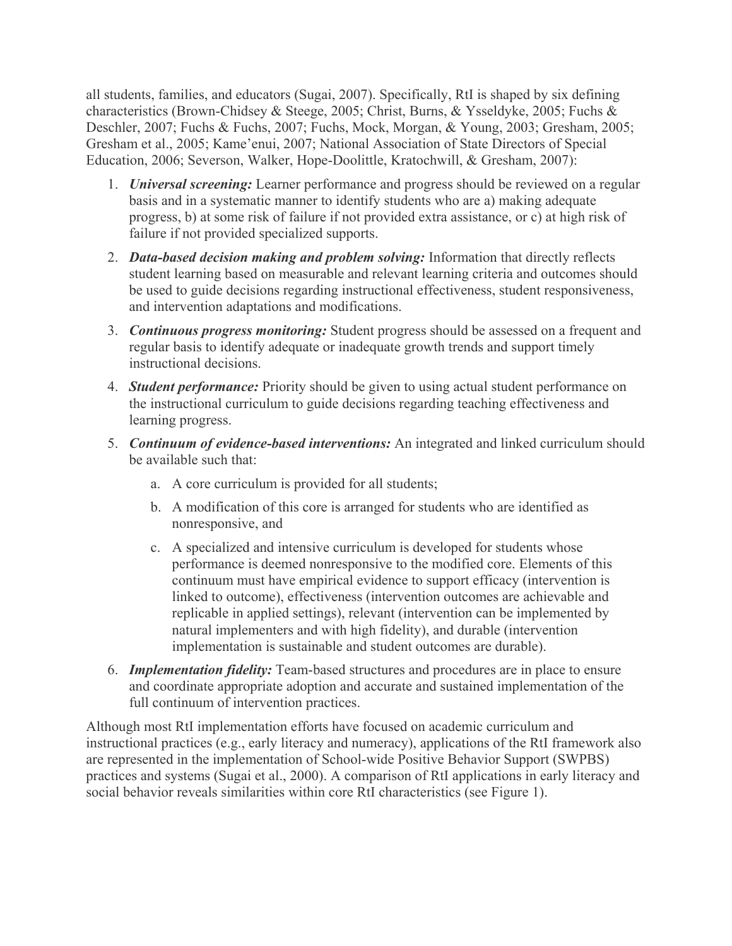all students, families, and educators (Sugai, 2007). Specifically, RtI is shaped by six defining characteristics (Brown-Chidsey & Steege, 2005; Christ, Burns, & Ysseldyke, 2005; Fuchs & Deschler, 2007; Fuchs & Fuchs, 2007; Fuchs, Mock, Morgan, & Young, 2003; Gresham, 2005; Gresham et al., 2005; Kame'enui, 2007; National Association of State Directors of Special Education, 2006; Severson, Walker, Hope-Doolittle, Kratochwill, & Gresham, 2007):

- 1. *Universal screening:* Learner performance and progress should be reviewed on a regular basis and in a systematic manner to identify students who are a) making adequate progress, b) at some risk of failure if not provided extra assistance, or c) at high risk of failure if not provided specialized supports.
- 2. *Data-based decision making and problem solving:* Information that directly reflects student learning based on measurable and relevant learning criteria and outcomes should be used to guide decisions regarding instructional effectiveness, student responsiveness, and intervention adaptations and modifications.
- 3. *Continuous progress monitoring:* Student progress should be assessed on a frequent and regular basis to identify adequate or inadequate growth trends and support timely instructional decisions.
- 4. *Student performance:* Priority should be given to using actual student performance on the instructional curriculum to guide decisions regarding teaching effectiveness and learning progress.
- 5. *Continuum of evidence-based interventions:* An integrated and linked curriculum should be available such that:
	- a. A core curriculum is provided for all students;
	- b. A modification of this core is arranged for students who are identified as nonresponsive, and
	- c. A specialized and intensive curriculum is developed for students whose performance is deemed nonresponsive to the modified core. Elements of this continuum must have empirical evidence to support efficacy (intervention is linked to outcome), effectiveness (intervention outcomes are achievable and replicable in applied settings), relevant (intervention can be implemented by natural implementers and with high fidelity), and durable (intervention implementation is sustainable and student outcomes are durable).
- 6. *Implementation fidelity:* Team-based structures and procedures are in place to ensure and coordinate appropriate adoption and accurate and sustained implementation of the full continuum of intervention practices.

Although most RtI implementation efforts have focused on academic curriculum and instructional practices (e.g., early literacy and numeracy), applications of the RtI framework also are represented in the implementation of School-wide Positive Behavior Support (SWPBS) practices and systems (Sugai et al., 2000). A comparison of RtI applications in early literacy and social behavior reveals similarities within core RtI characteristics (see Figure 1).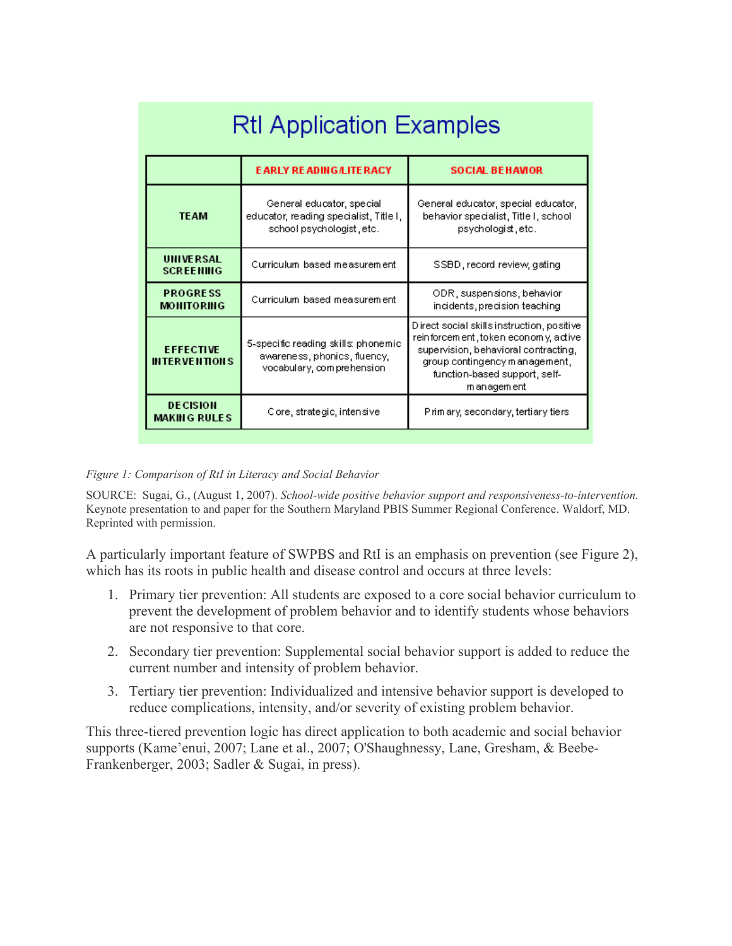| <b>RtI Application Examples</b>          |                                                                                                  |                                                                                                                                                                                                               |
|------------------------------------------|--------------------------------------------------------------------------------------------------|---------------------------------------------------------------------------------------------------------------------------------------------------------------------------------------------------------------|
|                                          | <b>EARLY READING/LITERACY</b>                                                                    | <b>SOCIAL BEHAVIOR</b>                                                                                                                                                                                        |
| <b>TEAM</b>                              | General educator, special<br>educator, reading specialist, Title I,<br>school psychologist, etc. | General educator, special educator,<br>behavior specialist, Title I, school<br>psychologist, etc.                                                                                                             |
| <b>UNIVERSAL</b><br><b>SCREENING</b>     | Curriculum based measurement                                                                     | SSBD, record review, gating                                                                                                                                                                                   |
| <b>PROGRESS</b><br><b>MONITORING</b>     | Curriculum based measurement                                                                     | ODR, suspensions, behavior<br>incidents, precision teaching.                                                                                                                                                  |
| <b>EFFECTIVE</b><br><b>INTERVENTIONS</b> | 5-specific reading skills; phonemic<br>awareness, phonics, fluency,<br>vocabulary, comprehension | Direct social skills instruction, positive<br>reinforcement, token economy, active<br>supervision, behavioral contracting,<br>group contingency management,<br>function-based support, self-<br>m an agem ent |
| <b>DECISION</b><br><b>MAKING RULES</b>   | Core, strategic, intensive                                                                       | Prim ary, secondary, tertiary tiers                                                                                                                                                                           |

*Figure 1: Comparison of RtI in Literacy and Social Behavior* 

SOURCE: Sugai, G., (August 1, 2007). *School-wide positive behavior support and responsiveness-to-intervention.* Keynote presentation to and paper for the Southern Maryland PBIS Summer Regional Conference. Waldorf, MD. Reprinted with permission.

A particularly important feature of SWPBS and RtI is an emphasis on prevention (see Figure 2), which has its roots in public health and disease control and occurs at three levels:

- 1. Primary tier prevention: All students are exposed to a core social behavior curriculum to prevent the development of problem behavior and to identify students whose behaviors are not responsive to that core.
- 2. Secondary tier prevention: Supplemental social behavior support is added to reduce the current number and intensity of problem behavior.
- 3. Tertiary tier prevention: Individualized and intensive behavior support is developed to reduce complications, intensity, and/or severity of existing problem behavior.

This three-tiered prevention logic has direct application to both academic and social behavior supports (Kame'enui, 2007; Lane et al., 2007; O'Shaughnessy, Lane, Gresham, & Beebe-Frankenberger, 2003; Sadler & Sugai, in press).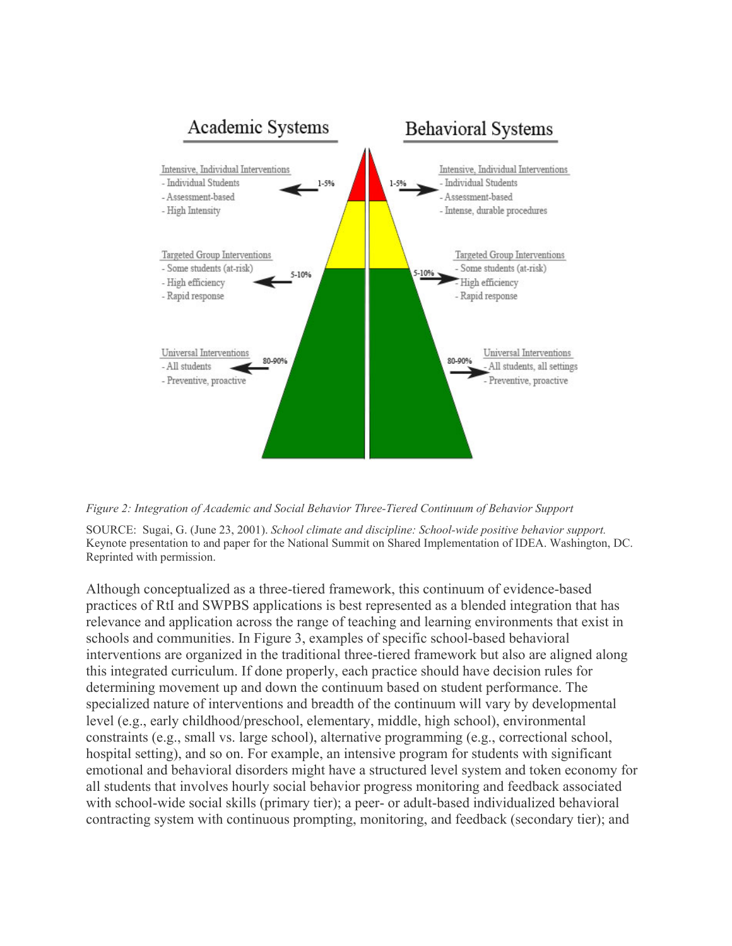

*Figure 2: Integration of Academic and Social Behavior Three-Tiered Continuum of Behavior Support* 

SOURCE: Sugai, G. (June 23, 2001). *School climate and discipline: School-wide positive behavior support.* Keynote presentation to and paper for the National Summit on Shared Implementation of IDEA. Washington, DC. Reprinted with permission.

Although conceptualized as a three-tiered framework, this continuum of evidence-based practices of RtI and SWPBS applications is best represented as a blended integration that has relevance and application across the range of teaching and learning environments that exist in schools and communities. In Figure 3, examples of specific school-based behavioral interventions are organized in the traditional three-tiered framework but also are aligned along this integrated curriculum. If done properly, each practice should have decision rules for determining movement up and down the continuum based on student performance. The specialized nature of interventions and breadth of the continuum will vary by developmental level (e.g., early childhood/preschool, elementary, middle, high school), environmental constraints (e.g., small vs. large school), alternative programming (e.g., correctional school, hospital setting), and so on. For example, an intensive program for students with significant emotional and behavioral disorders might have a structured level system and token economy for all students that involves hourly social behavior progress monitoring and feedback associated with school-wide social skills (primary tier); a peer- or adult-based individualized behavioral contracting system with continuous prompting, monitoring, and feedback (secondary tier); and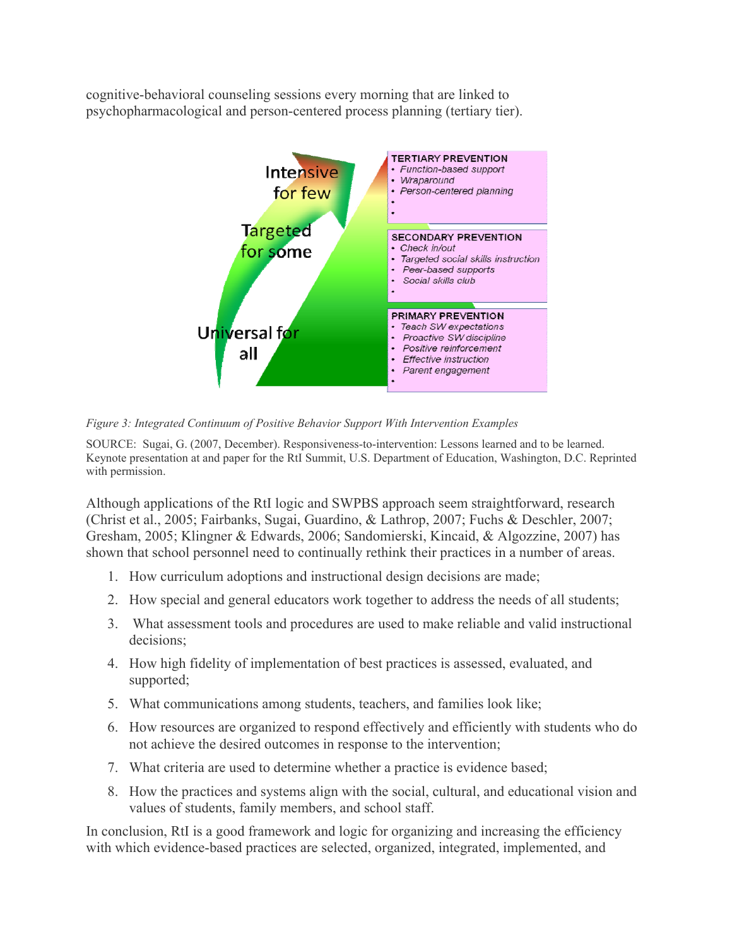cognitive-behavioral counseling sessions every morning that are linked to psychopharmacological and person-centered process planning (tertiary tier).



*Figure 3: Integrated Continuum of Positive Behavior Support With Intervention Examples* 

SOURCE: Sugai, G. (2007, December). Responsiveness-to-intervention: Lessons learned and to be learned. Keynote presentation at and paper for the RtI Summit, U.S. Department of Education, Washington, D.C. Reprinted with permission.

Although applications of the RtI logic and SWPBS approach seem straightforward, research (Christ et al., 2005; Fairbanks, Sugai, Guardino, & Lathrop, 2007; Fuchs & Deschler, 2007; Gresham, 2005; Klingner & Edwards, 2006; Sandomierski, Kincaid, & Algozzine, 2007) has shown that school personnel need to continually rethink their practices in a number of areas.

- 1. How curriculum adoptions and instructional design decisions are made;
- 2. How special and general educators work together to address the needs of all students;
- 3. What assessment tools and procedures are used to make reliable and valid instructional decisions;
- 4. How high fidelity of implementation of best practices is assessed, evaluated, and supported;
- 5. What communications among students, teachers, and families look like;
- 6. How resources are organized to respond effectively and efficiently with students who do not achieve the desired outcomes in response to the intervention;
- 7. What criteria are used to determine whether a practice is evidence based;
- 8. How the practices and systems align with the social, cultural, and educational vision and values of students, family members, and school staff.

In conclusion, RtI is a good framework and logic for organizing and increasing the efficiency with which evidence-based practices are selected, organized, integrated, implemented, and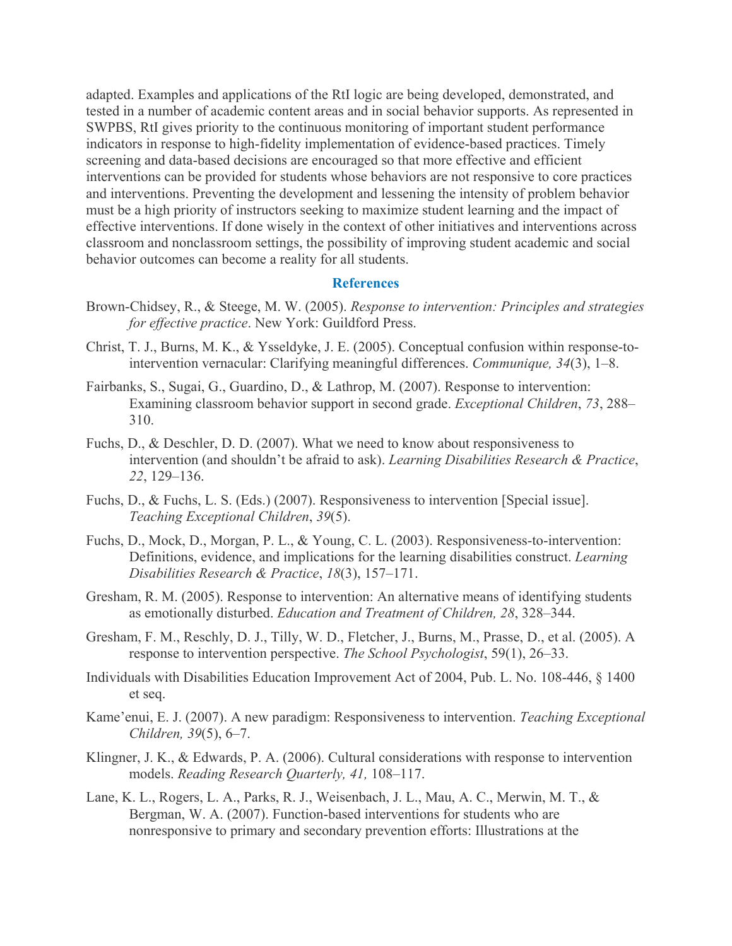adapted. Examples and applications of the RtI logic are being developed, demonstrated, and tested in a number of academic content areas and in social behavior supports. As represented in SWPBS, RtI gives priority to the continuous monitoring of important student performance indicators in response to high-fidelity implementation of evidence-based practices. Timely screening and data-based decisions are encouraged so that more effective and efficient interventions can be provided for students whose behaviors are not responsive to core practices and interventions. Preventing the development and lessening the intensity of problem behavior must be a high priority of instructors seeking to maximize student learning and the impact of effective interventions. If done wisely in the context of other initiatives and interventions across classroom and nonclassroom settings, the possibility of improving student academic and social behavior outcomes can become a reality for all students.

## **References**

- Brown-Chidsey, R., & Steege, M. W. (2005). *Response to intervention: Principles and strategies for effective practice*. New York: Guildford Press.
- Christ, T. J., Burns, M. K., & Ysseldyke, J. E. (2005). Conceptual confusion within response-tointervention vernacular: Clarifying meaningful differences. *Communique, 34*(3), 1–8.
- Fairbanks, S., Sugai, G., Guardino, D., & Lathrop, M. (2007). Response to intervention: Examining classroom behavior support in second grade. *Exceptional Children*, *73*, 288– 310.
- Fuchs, D., & Deschler, D. D. (2007). What we need to know about responsiveness to intervention (and shouldn't be afraid to ask). *Learning Disabilities Research & Practice*, *22*, 129–136.
- Fuchs, D., & Fuchs, L. S. (Eds.) (2007). Responsiveness to intervention [Special issue]. *Teaching Exceptional Children*, *39*(5).
- Fuchs, D., Mock, D., Morgan, P. L., & Young, C. L. (2003). Responsiveness-to-intervention: Definitions, evidence, and implications for the learning disabilities construct. *Learning Disabilities Research & Practice*, *18*(3), 157–171.
- Gresham, R. M. (2005). Response to intervention: An alternative means of identifying students as emotionally disturbed. *Education and Treatment of Children, 28*, 328–344.
- Gresham, F. M., Reschly, D. J., Tilly, W. D., Fletcher, J., Burns, M., Prasse, D., et al. (2005). A response to intervention perspective. *The School Psychologist*, 59(1), 26–33.
- Individuals with Disabilities Education Improvement Act of 2004, Pub. L. No. 108-446, § 1400 et seq.
- Kame'enui, E. J. (2007). A new paradigm: Responsiveness to intervention. *Teaching Exceptional Children, 39*(5), 6–7.
- Klingner, J. K., & Edwards, P. A. (2006). Cultural considerations with response to intervention models. *Reading Research Quarterly, 41,* 108–117.
- Lane, K. L., Rogers, L. A., Parks, R. J., Weisenbach, J. L., Mau, A. C., Merwin, M. T., & Bergman, W. A. (2007). Function-based interventions for students who are nonresponsive to primary and secondary prevention efforts: Illustrations at the